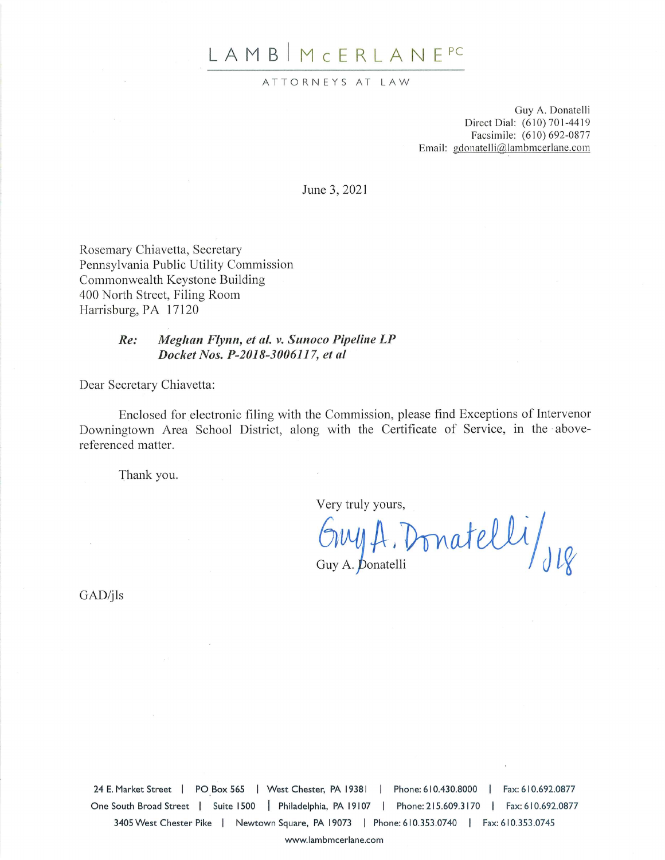# LAMB | MCERLANE<sup>PC</sup>

#### ATTORNEYS AT LAW

Guy A. Donatelli Direct Dial: (610) 701-4419 Facsimile: (610) 692-0877 Email: gdonatelli@lambmcerlane.com

June 3, 2021

Rosemary Chiavetta, Secretary Pennsylvania Public Utility Commission Commonwealth Keystone Building 400 North Street, Filing Room Harrisburg, PA 17120

#### $Re:$ Meghan Flynn, et al. v. Sunoco Pipeline LP Docket Nos. P-2018-3006117, et al.

Dear Secretary Chiavetta:

Enclosed for electronic filing with the Commission, please find Exceptions of Intervenor Downingtown Area School District, along with the Certificate of Service, in the abovereferenced matter.

Thank you.

Very truly yours,

Ony A. Donatelli/JR

 $GAD/ils$ 

24 E. Market Street | PO Box 565 | West Chester, PA 19381 | Phone: 610.430.8000 | Fax: 610.692.0877 One South Broad Street | Suite 1500 | Philadelphia, PA 19107 | Phone: 215.609.3170 | Fax: 610.692.0877 3405 West Chester Pike | Newtown Square, PA 19073 | Phone: 610.353.0740 | Fax: 610.353.0745

www.lambmcerlane.com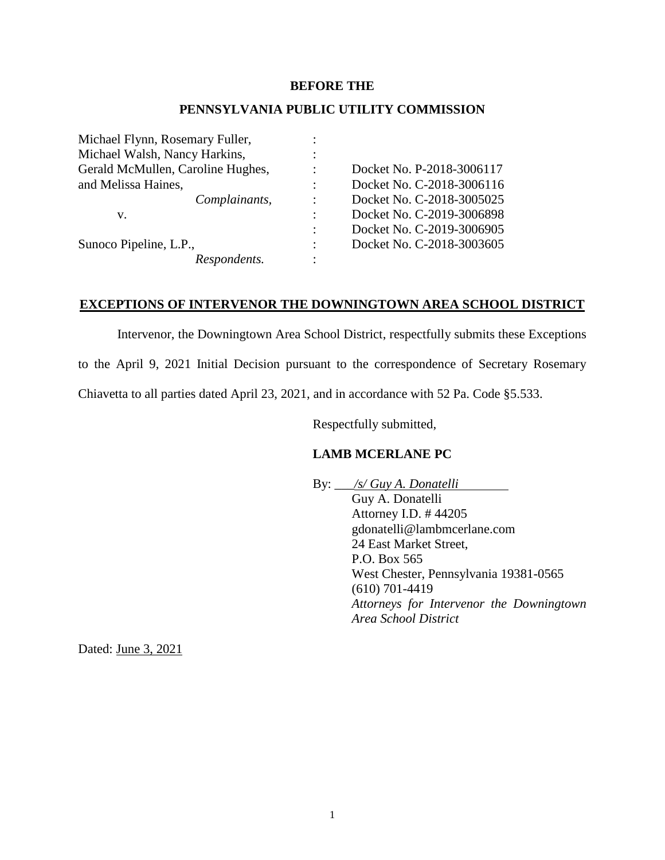## **BEFORE THE**

## **PENNSYLVANIA PUBLIC UTILITY COMMISSION**

|                | Docket No. P-2018-3006117 |
|----------------|---------------------------|
|                | Docket No. C-2018-3006116 |
| $\ddot{\cdot}$ | Docket No. C-2018-3005025 |
|                | Docket No. C-2019-3006898 |
| $\ddot{\cdot}$ | Docket No. C-2019-3006905 |
| ٠              | Docket No. C-2018-3003605 |
|                |                           |
|                |                           |

## **EXCEPTIONS OF INTERVENOR THE DOWNINGTOWN AREA SCHOOL DISTRICT**

Intervenor, the Downingtown Area School District, respectfully submits these Exceptions

to the April 9, 2021 Initial Decision pursuant to the correspondence of Secretary Rosemary

Chiavetta to all parties dated April 23, 2021, and in accordance with 52 Pa. Code §5.533.

Respectfully submitted,

## **LAMB MCERLANE PC**

By: \_\_\_*/s/ Guy A. Donatelli* Guy A. Donatelli Attorney I.D. # 44205 gdonatelli@lambmcerlane.com 24 East Market Street, P.O. Box 565 West Chester, Pennsylvania 19381-0565 (610) 701-4419 *Attorneys for Intervenor the Downingtown Area School District*

Dated: June 3, 2021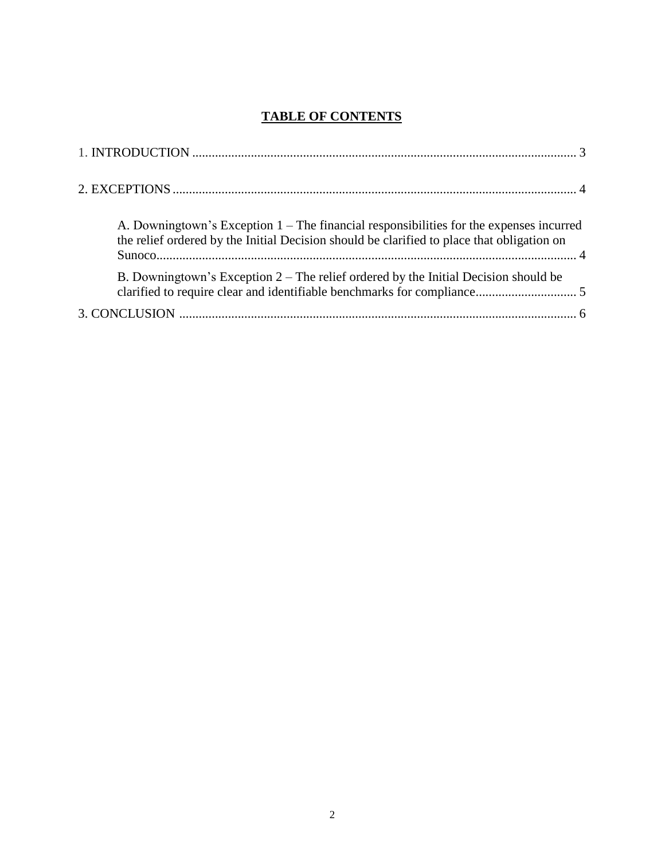## **TABLE OF CONTENTS**

| A. Downingtown's Exception $1$ – The financial responsibilities for the expenses incurred<br>the relief ordered by the Initial Decision should be clarified to place that obligation on |
|-----------------------------------------------------------------------------------------------------------------------------------------------------------------------------------------|
| B. Downingtown's Exception $2$ – The relief ordered by the Initial Decision should be                                                                                                   |
|                                                                                                                                                                                         |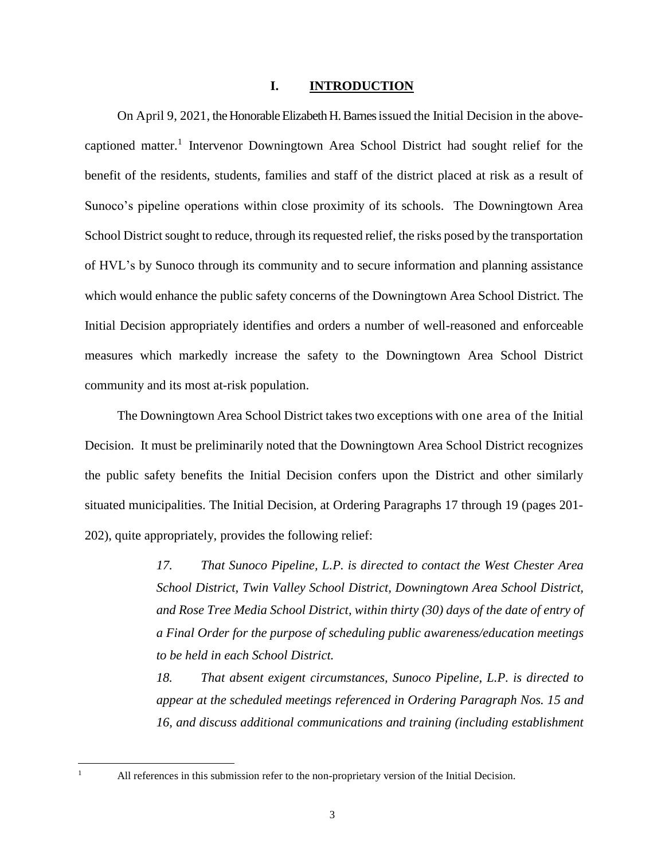#### **I. INTRODUCTION**

On April 9, 2021, the Honorable Elizabeth H. Barnes issued the Initial Decision in the abovecaptioned matter.<sup>1</sup> Intervenor Downingtown Area School District had sought relief for the benefit of the residents, students, families and staff of the district placed at risk as a result of Sunoco's pipeline operations within close proximity of its schools. The Downingtown Area School District sought to reduce, through its requested relief, the risks posed by the transportation of HVL's by Sunoco through its community and to secure information and planning assistance which would enhance the public safety concerns of the Downingtown Area School District. The Initial Decision appropriately identifies and orders a number of well-reasoned and enforceable measures which markedly increase the safety to the Downingtown Area School District community and its most at-risk population.

The Downingtown Area School District takes two exceptions with one area of the Initial Decision. It must be preliminarily noted that the Downingtown Area School District recognizes the public safety benefits the Initial Decision confers upon the District and other similarly situated municipalities. The Initial Decision, at Ordering Paragraphs 17 through 19 (pages 201- 202), quite appropriately, provides the following relief:

> *17. That Sunoco Pipeline, L.P. is directed to contact the West Chester Area School District, Twin Valley School District, Downingtown Area School District, and Rose Tree Media School District, within thirty (30) days of the date of entry of a Final Order for the purpose of scheduling public awareness/education meetings to be held in each School District.*

> *18. That absent exigent circumstances, Sunoco Pipeline, L.P. is directed to appear at the scheduled meetings referenced in Ordering Paragraph Nos. 15 and 16, and discuss additional communications and training (including establishment*

 $\mathbf{1}$ 

All references in this submission refer to the non-proprietary version of the Initial Decision.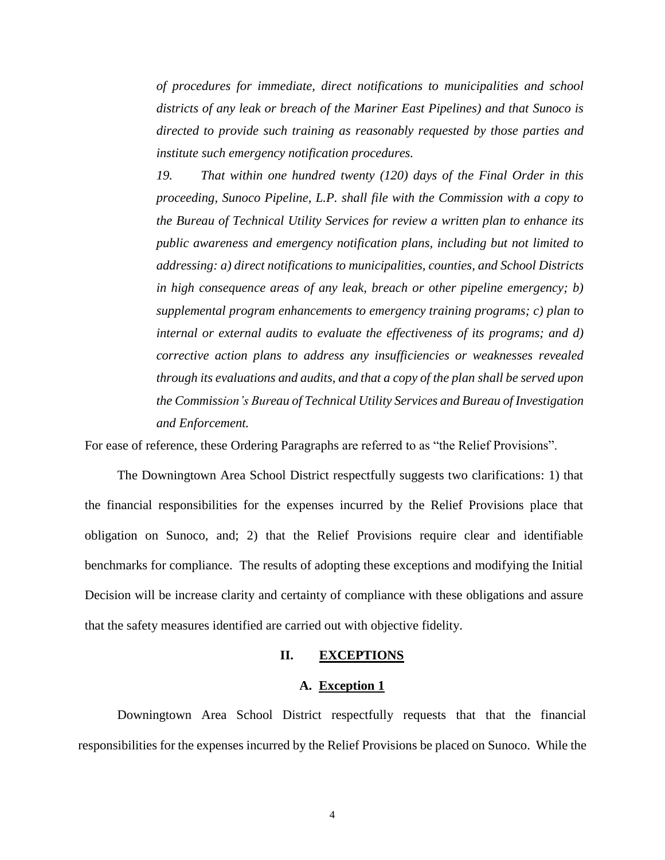*of procedures for immediate, direct notifications to municipalities and school districts of any leak or breach of the Mariner East Pipelines) and that Sunoco is directed to provide such training as reasonably requested by those parties and institute such emergency notification procedures.*

*19. That within one hundred twenty (120) days of the Final Order in this proceeding, Sunoco Pipeline, L.P. shall file with the Commission with a copy to the Bureau of Technical Utility Services for review a written plan to enhance its public awareness and emergency notification plans, including but not limited to addressing: a) direct notifications to municipalities, counties, and School Districts in high consequence areas of any leak, breach or other pipeline emergency; b) supplemental program enhancements to emergency training programs; c) plan to internal or external audits to evaluate the effectiveness of its programs; and d) corrective action plans to address any insufficiencies or weaknesses revealed through its evaluations and audits, and that a copy of the plan shall be served upon the Commission's Bureau of Technical Utility Services and Bureau of Investigation and Enforcement.*

For ease of reference, these Ordering Paragraphs are referred to as "the Relief Provisions".

The Downingtown Area School District respectfully suggests two clarifications: 1) that the financial responsibilities for the expenses incurred by the Relief Provisions place that obligation on Sunoco, and; 2) that the Relief Provisions require clear and identifiable benchmarks for compliance. The results of adopting these exceptions and modifying the Initial Decision will be increase clarity and certainty of compliance with these obligations and assure that the safety measures identified are carried out with objective fidelity.

#### **II. EXCEPTIONS**

#### **A. Exception 1**

Downingtown Area School District respectfully requests that that the financial responsibilities for the expenses incurred by the Relief Provisions be placed on Sunoco. While the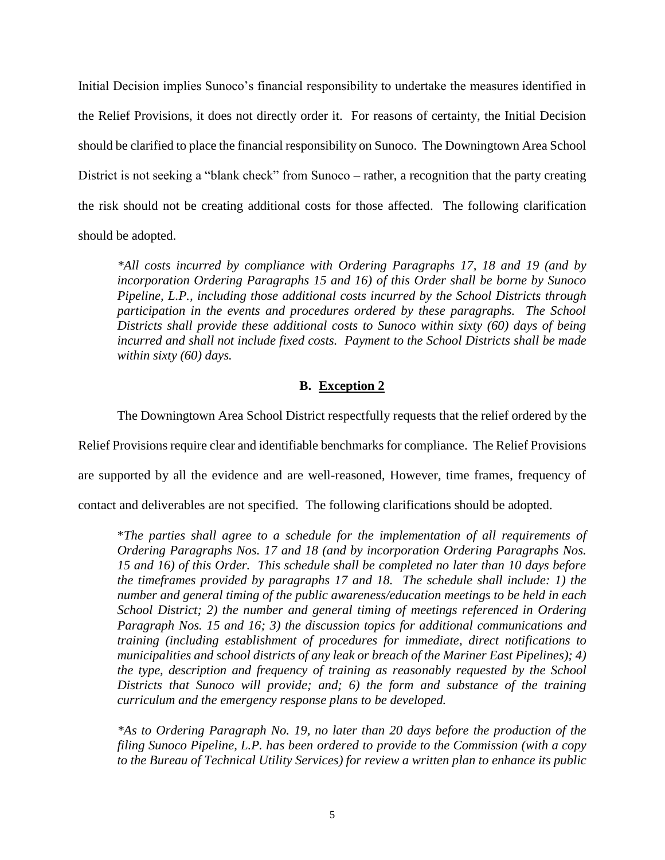Initial Decision implies Sunoco's financial responsibility to undertake the measures identified in the Relief Provisions, it does not directly order it. For reasons of certainty, the Initial Decision should be clarified to place the financial responsibility on Sunoco. The Downingtown Area School District is not seeking a "blank check" from Sunoco – rather, a recognition that the party creating the risk should not be creating additional costs for those affected. The following clarification should be adopted.

*\*All costs incurred by compliance with Ordering Paragraphs 17, 18 and 19 (and by incorporation Ordering Paragraphs 15 and 16) of this Order shall be borne by Sunoco Pipeline, L.P., including those additional costs incurred by the School Districts through participation in the events and procedures ordered by these paragraphs. The School Districts shall provide these additional costs to Sunoco within sixty (60) days of being incurred and shall not include fixed costs. Payment to the School Districts shall be made within sixty (60) days.*

## **B. Exception 2**

The Downingtown Area School District respectfully requests that the relief ordered by the

Relief Provisions require clear and identifiable benchmarks for compliance. The Relief Provisions

are supported by all the evidence and are well-reasoned, However, time frames, frequency of

contact and deliverables are not specified. The following clarifications should be adopted.

\**The parties shall agree to a schedule for the implementation of all requirements of Ordering Paragraphs Nos. 17 and 18 (and by incorporation Ordering Paragraphs Nos. 15 and 16) of this Order. This schedule shall be completed no later than 10 days before the timeframes provided by paragraphs 17 and 18. The schedule shall include: 1) the number and general timing of the public awareness/education meetings to be held in each School District; 2) the number and general timing of meetings referenced in Ordering Paragraph Nos. 15 and 16; 3) the discussion topics for additional communications and training (including establishment of procedures for immediate, direct notifications to municipalities and school districts of any leak or breach of the Mariner East Pipelines); 4) the type, description and frequency of training as reasonably requested by the School Districts that Sunoco will provide; and; 6) the form and substance of the training curriculum and the emergency response plans to be developed.* 

*\*As to Ordering Paragraph No. 19, no later than 20 days before the production of the filing Sunoco Pipeline, L.P. has been ordered to provide to the Commission (with a copy to the Bureau of Technical Utility Services) for review a written plan to enhance its public*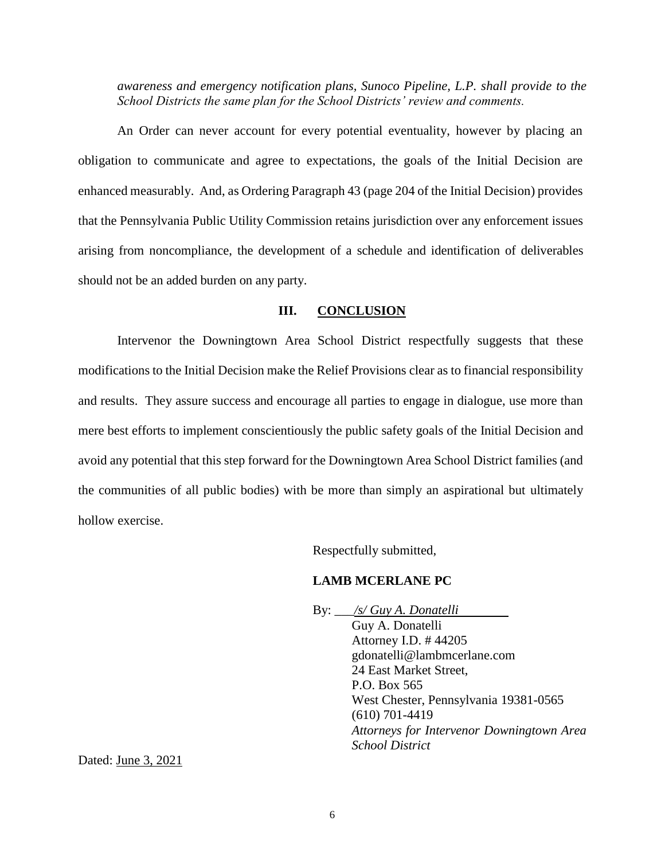*awareness and emergency notification plans, Sunoco Pipeline, L.P. shall provide to the School Districts the same plan for the School Districts' review and comments.*

An Order can never account for every potential eventuality, however by placing an obligation to communicate and agree to expectations, the goals of the Initial Decision are enhanced measurably. And, as Ordering Paragraph 43 (page 204 of the Initial Decision) provides that the Pennsylvania Public Utility Commission retains jurisdiction over any enforcement issues arising from noncompliance, the development of a schedule and identification of deliverables should not be an added burden on any party.

## **III. CONCLUSION**

Intervenor the Downingtown Area School District respectfully suggests that these modifications to the Initial Decision make the Relief Provisions clear as to financial responsibility and results. They assure success and encourage all parties to engage in dialogue, use more than mere best efforts to implement conscientiously the public safety goals of the Initial Decision and avoid any potential that this step forward for the Downingtown Area School District families (and the communities of all public bodies) with be more than simply an aspirational but ultimately hollow exercise.

Respectfully submitted,

## **LAMB MCERLANE PC**

By: \_\_\_*/s/ Guy A. Donatelli* Guy A. Donatelli Attorney I.D. # 44205 gdonatelli@lambmcerlane.com 24 East Market Street, P.O. Box 565 West Chester, Pennsylvania 19381-0565 (610) 701-4419 *Attorneys for Intervenor Downingtown Area School District*

Dated: June 3, 2021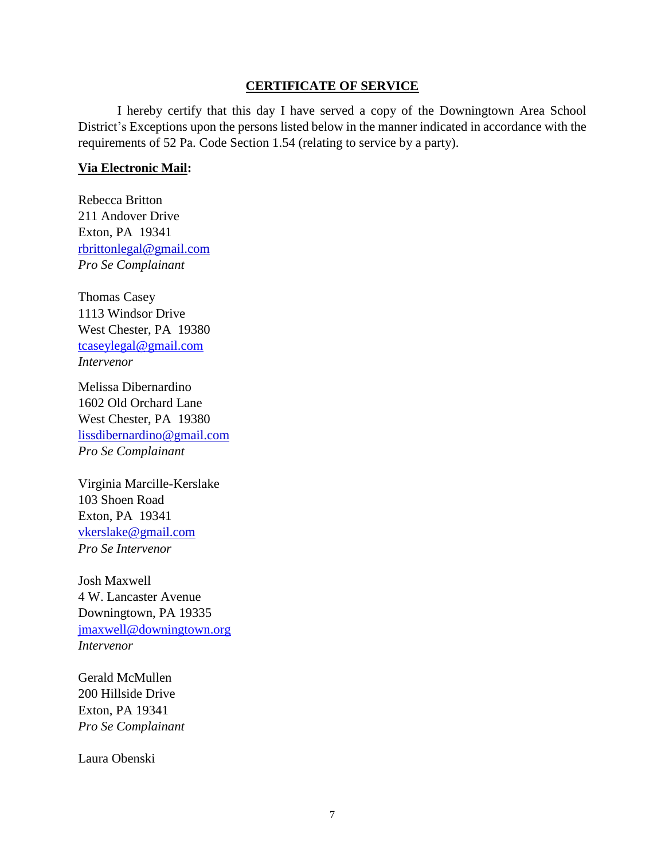## **CERTIFICATE OF SERVICE**

I hereby certify that this day I have served a copy of the Downingtown Area School District's Exceptions upon the persons listed below in the manner indicated in accordance with the requirements of 52 Pa. Code Section 1.54 (relating to service by a party).

## **Via Electronic Mail:**

Rebecca Britton 211 Andover Drive Exton, PA 19341 rbrittonlegal@gmail.com *Pro Se Complainant*

Thomas Casey 1113 Windsor Drive West Chester, PA 19380 [tcaseylegal@gmail.com](mailto:tcaseylegal@gmail.com) *Intervenor*

Melissa Dibernardino 1602 Old Orchard Lane West Chester, PA 19380 lissdibernardino@gmail.com *Pro Se Complainant*

Virginia Marcille-Kerslake 103 Shoen Road Exton, PA 19341 vkerslake@gmail.com *Pro Se Intervenor*

Josh Maxwell 4 W. Lancaster Avenue Downingtown, PA 19335 [jmaxwell@downingtown.org](mailto:jmaxwell@downingtown.org) *Intervenor*

Gerald McMullen 200 Hillside Drive Exton, PA 19341 *Pro Se Complainant*

Laura Obenski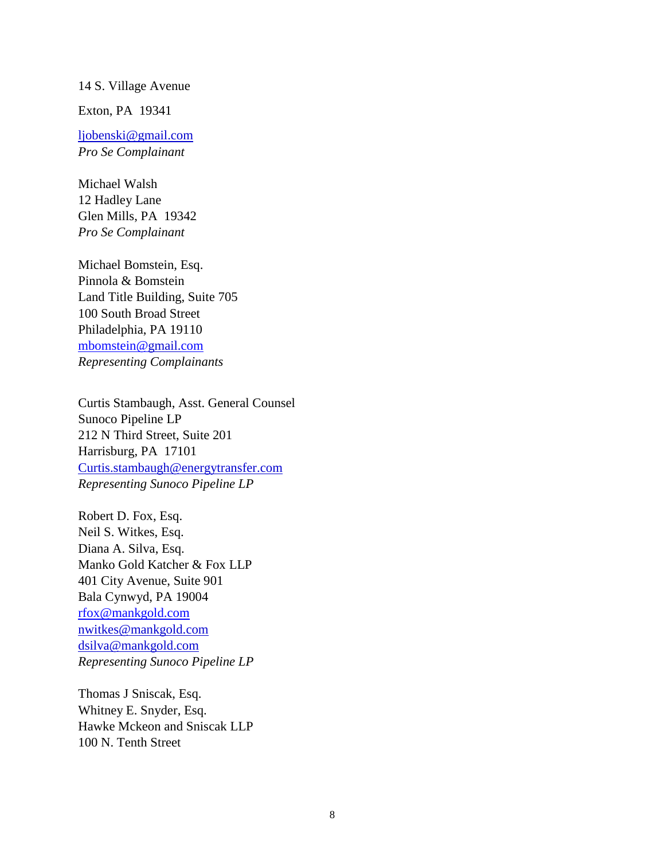### 14 S. Village Avenue

Exton, PA 19341

ljobenski@gmail.com *Pro Se Complainant*

Michael Walsh 12 Hadley Lane Glen Mills, PA 19342 *Pro Se Complainant*

Michael Bomstein, Esq. Pinnola & Bomstein Land Title Building, Suite 705 100 South Broad Street Philadelphia, PA 19110 [mbomstein@gmail.com](mailto:mbomstein@gmail.com) *Representing Complainants*

Curtis Stambaugh, Asst. General Counsel Sunoco Pipeline LP 212 N Third Street, Suite 201 Harrisburg, PA 17101 Curtis.stambaugh@energytransfer.com *Representing Sunoco Pipeline LP*

Robert D. Fox, Esq. Neil S. Witkes, Esq. Diana A. Silva, Esq. Manko Gold Katcher & Fox LLP 401 City Avenue, Suite 901 Bala Cynwyd, PA 19004 [rfox@mankgold.com](mailto:rfox@mankgold.com) nwitkes@mankgold.com dsilva@mankgold.com *Representing Sunoco Pipeline LP*

Thomas J Sniscak, Esq. Whitney E. Snyder, Esq. Hawke Mckeon and Sniscak LLP 100 N. Tenth Street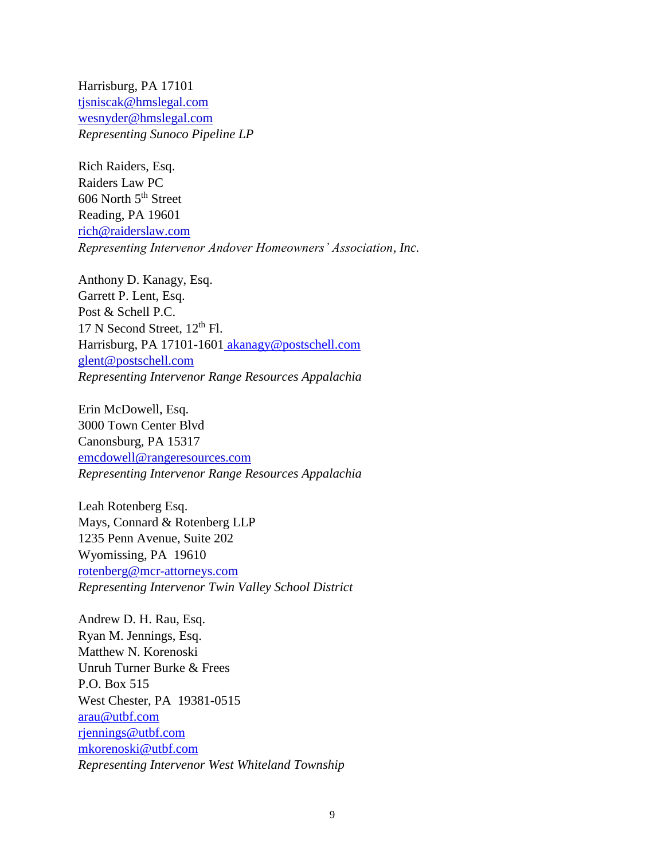Harrisburg, PA 17101 tjsniscak@hmslegal.com wesnyder@hmslegal.com *Representing Sunoco Pipeline LP*

Rich Raiders, Esq. Raiders Law PC 606 North 5<sup>th</sup> Street Reading, PA 19601 rich@raiderslaw.com *Representing Intervenor Andover Homeowners' Association, Inc.*

Anthony D. Kanagy, Esq. Garrett P. Lent, Esq. Post & Schell P.C. 17 N Second Street,  $12<sup>th</sup>$  Fl. Harrisburg, PA 17101-1601 [akanagy@postschell.com](mailto:akanagy@postschell.com) glent@postschell.com *Representing Intervenor Range Resources Appalachia*

Erin McDowell, Esq. 3000 Town Center Blvd Canonsburg, PA 15317 emcdowell@rangeresources.com *Representing Intervenor Range Resources Appalachia* 

Leah Rotenberg Esq. Mays, Connard & Rotenberg LLP 1235 Penn Avenue, Suite 202 Wyomissing, PA 19610 rotenberg@mcr-attorneys.com *Representing Intervenor Twin Valley School District* 

Andrew D. H. Rau, Esq. Ryan M. Jennings, Esq. Matthew N. Korenoski Unruh Turner Burke & Frees P.O. Box 515 West Chester, PA 19381-0515 [arau@utbf.com](mailto:arau@utbf.com) [rjennings@utbf.com](mailto:rjennings@utbf.com) [mkorenoski@utbf.com](mailto:mkorenoski@utbf.com) *Representing Intervenor West Whiteland Township*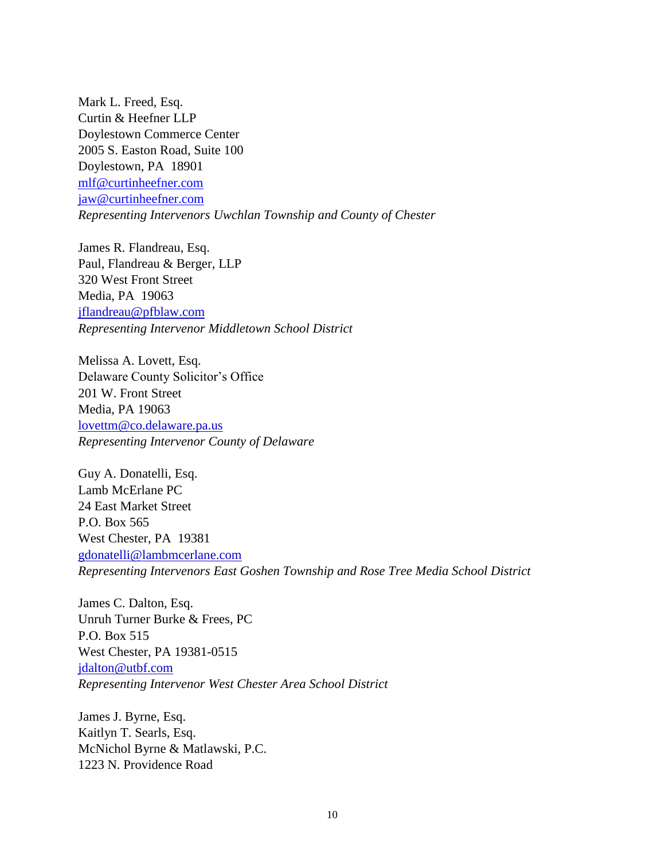Mark L. Freed, Esq. Curtin & Heefner LLP Doylestown Commerce Center 2005 S. Easton Road, Suite 100 Doylestown, PA 18901 [mlf@curtinheefner.com](mailto:mlf@curtinheefner.com) [jaw@curtinheefner.com](mailto:jaw@curtinheefner.com) *Representing Intervenors Uwchlan Township and County of Chester*

James R. Flandreau, Esq. Paul, Flandreau & Berger, LLP 320 West Front Street Media, PA 19063 jflandreau@pfblaw.com *Representing Intervenor Middletown School District*

Melissa A. Lovett, Esq. Delaware County Solicitor's Office 201 W. Front Street Media, PA 19063 lovettm@co.delaware.pa.us *Representing Intervenor County of Delaware* 

Guy A. Donatelli, Esq. Lamb McErlane PC 24 East Market Street P.O. Box 565 West Chester, PA 19381 gdonatelli@lambmcerlane.com *Representing Intervenors East Goshen Township and Rose Tree Media School District* 

James C. Dalton, Esq. Unruh Turner Burke & Frees, PC P.O. Box 515 West Chester, PA 19381-0515 jdalton@utbf.com *Representing Intervenor West Chester Area School District* 

James J. Byrne, Esq. Kaitlyn T. Searls, Esq. McNichol Byrne & Matlawski, P.C. 1223 N. Providence Road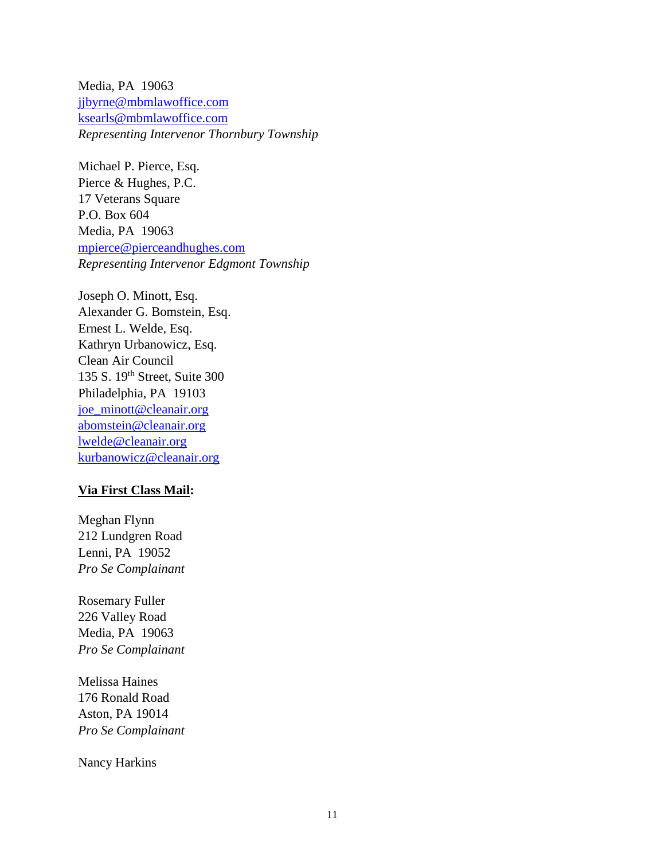Media, PA 19063 [jjbyrne@mbmlawoffice.com](mailto:jjbyrne@mbmlawoffice.com) ksearls@mbmlawoffice.com *Representing Intervenor Thornbury Township* 

Michael P. Pierce, Esq. Pierce & Hughes, P.C. 17 Veterans Square P.O. Box 604 Media, PA 19063 [mpierce@pierceandhughes.com](mailto:mpierce@pierceandhughes.com) *Representing Intervenor Edgmont Township*

Joseph O. Minott, Esq. Alexander G. Bomstein, Esq. Ernest L. Welde, Esq. Kathryn Urbanowicz, Esq. Clean Air Council 135 S. 19th Street, Suite 300 Philadelphia, PA 19103 [joe\\_minott@cleanair.org](mailto:joe_minott@cleanair.org) [abomstein@cleanair.org](mailto:abomstein@cleanair.org) [lwelde@cleanair.org](mailto:lwelde@cleanair.org) [kurbanowicz@cleanair.org](mailto:kurbanowicz@cleanair.org)

## **Via First Class Mail:**

Meghan Flynn 212 Lundgren Road Lenni, PA 19052 *Pro Se Complainant*

Rosemary Fuller 226 Valley Road Media, PA 19063 *Pro Se Complainant*

Melissa Haines 176 Ronald Road Aston, PA 19014 *Pro Se Complainant*

Nancy Harkins